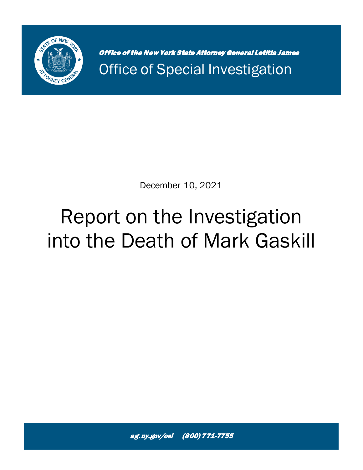

Office of the New York State Attorney General Letitia James Office of Special Investigation

December 10, 2021

# Report on the Investigation into the Death of Mark Gaskill

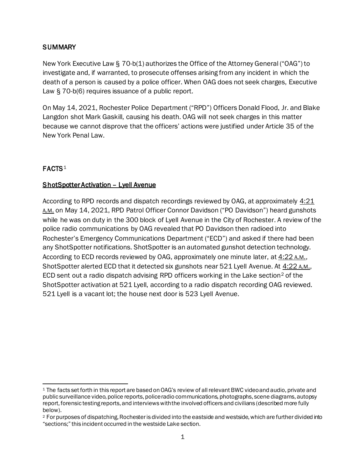# **SUMMARY**

New York Executive Law § 70-b(1) authorizes the Office of the Attorney General ("OAG") to investigate and, if warranted, to prosecute offenses arising from any incident in which the death of a person is caused by a police officer. When OAG does not seek charges, Executive Law § 70-b(6) requires issuance of a public report.

On May 14, 2021, Rochester Police Department ("RPD") Officers Donald Flood, Jr. and Blake Langdon shot Mark Gaskill, causing his death. OAG will not seek charges in this matter because we cannot disprove that the officers' actions were justified under Article 35 of the New York Penal Law.

# $FACTS<sup>1</sup>$  $FACTS<sup>1</sup>$  $FACTS<sup>1</sup>$

# ShotSpotter Activation – Lyell Avenue

According to RPD records and dispatch recordings reviewed by OAG, at approximately  $4:21$ A.M. on May 14, 2021, RPD Patrol Officer Connor Davidson ("PO Davidson") heard gunshots while he was on duty in the 300 block of Lyell Avenue in the City of Rochester. A review of the police radio communications by OAG revealed that PO Davidson then radioed into Rochester's Emergency Communications Department ("ECD") and asked if there had been any ShotSpotter notifications. ShotSpotter is an automated gunshot detection technology. According to ECD records reviewed by OAG, approximately one minute later, at  $4:22$  A.M., ShotSpotter alerted ECD that it detected six gunshots near 521 Lyell Avenue. At 4:22 A.M., ECD sent out a radio dispatch advising RPD officers working in the Lake section<sup>[2](#page-1-1)</sup> of the ShotSpotter activation at 521 Lyell, according to a radio dispatch recording OAG reviewed. 521 Lyell is a vacant lot; the house next door is 523 Lyell Avenue.

<span id="page-1-0"></span><sup>1</sup> The facts set forth in this report are based on OAG's review of all relevant BWC video and audio, private and public surveillance video, police reports, police radio communications, photographs, scene diagrams, autopsy report, forensic testing reports, and interviews with the involved officers and civilians (described more fully below).

<span id="page-1-1"></span><sup>2</sup> For purposes of dispatching, Rochester is divided into the eastside and westside, which are further divided into "sections;" this incident occurred in the westside Lake section.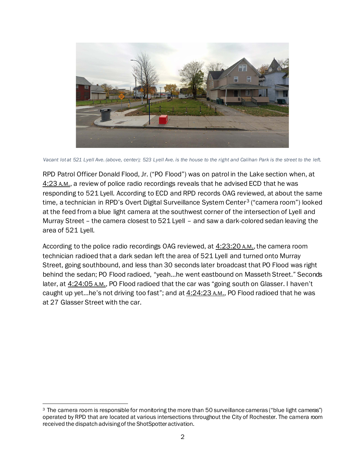

*Vacant lot at 521 Lyell Ave. (above, center); 523 Lyell Ave. is the house to the right and Calihan Park is the street to the left.*

RPD Patrol Officer Donald Flood, Jr. ("PO Flood") was on patrol in the Lake section when, at 4:23 A.M., a review of police radio recordings reveals that he advised ECD that he was responding to 521 Lyell. According to ECD and RPD records OAG reviewed, at about the same time, a technician in RPD's Overt Digital Surveillance System Center<sup>[3](#page-2-0)</sup> ("camera room") looked at the feed from a blue light camera at the southwest corner of the intersection of Lyell and Murray Street – the camera closest to 521 Lyell – and saw a dark-colored sedan leaving the area of 521 Lyell.

According to the police radio recordings OAG reviewed, at  $4:23:20$  A.M., the camera room technician radioed that a dark sedan left the area of 521 Lyell and turned onto Murray Street, going southbound, and less than 30 seconds later broadcast that PO Flood was right behind the sedan; PO Flood radioed, "yeah…he went eastbound on Masseth Street." Seconds later, at  $4:24:05$  A.M., PO Flood radioed that the car was "going south on Glasser. I haven't caught up yet...he's not driving too fast"; and at  $4:24:23$  A.M., PO Flood radioed that he was at 27 Glasser Street with the car.

<span id="page-2-0"></span><sup>3</sup> The camera room is responsible for monitoring the more than 50 surveillance cameras ("blue light cameras") operated by RPD that are located at various intersections throughout the City of Rochester. The camera room received the dispatch advisingof the ShotSpotter activation.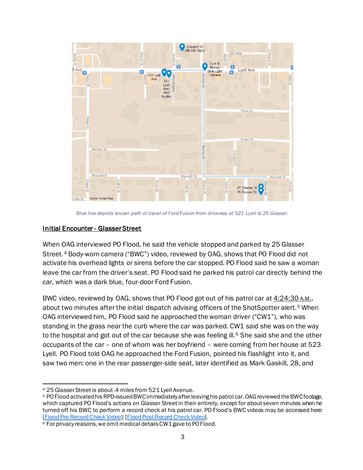

*Blue line depicts known path of travel of Ford Fusion from driveway at 523 Lyell to 25 Glasser.*

#### Initial Encounter - Glasser Street

When OAG interviewed PO Flood, he said the vehicle stopped and parked by 25 Glasser Street.<sup>[4](#page-3-0)</sup> Body-worn camera ("BWC") video, reviewed by OAG, shows that PO Flood did not activate his overhead lights or sirens before the car stopped. PO Flood said he saw a woman leave the car from the driver's seat. PO Flood said he parked his patrol car directly behind the car, which was a dark blue, four-door Ford Fusion.

BWC video, reviewed by OAG, shows that PO Flood got out of his patrol car at 4:24:30 A.M., about two minutes after the initial dispatch advising officers of the ShotSpotter alert.<sup>[5](#page-3-1)</sup> When OAG interviewed him, PO Flood said he approached the woman driver ("CW1"), who was standing in the grass near the curb where the car was parked. CW1 said she was on the way to the hospital and got out of the car because she was feeling ill.<sup>[6](#page-3-2)</sup> She said she and the other occupants of the car – one of whom was her boyfriend – were coming from her house at 523 Lyell. PO Flood told OAG he approached the Ford Fusion, pointed his flashlight into it, and saw two men: one in the rear passenger-side seat, later identified as Mark Gaskill, 28, and

<span id="page-3-0"></span><sup>4</sup> 25 Glasser Street is about .4 miles from 521 Lyell Avenue.

<span id="page-3-1"></span><sup>5</sup> PO Flood activated his RPD-issued BWC immediately after leaving his patrol car. OAG reviewed the BWC footage, which captured PO Flood's actions on Glasser Street in their entirety, except for about seven minutes when he turned off his BWC to perform a record check at his patrol car. PO Flood's BWC videos may be accessed here: [\[Flood Pre-Record Check Video](https://vimeo.com/654249809/d3da558927)]; [\[Flood Post-Record Check Video\]](https://vimeo.com/654252945/8dd81c2128).

<span id="page-3-2"></span><sup>&</sup>lt;sup>6</sup> For privacy reasons, we omit medical details CW1 gave to PO Flood.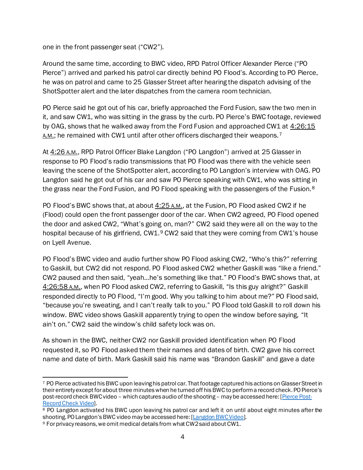one in the front passenger seat ("CW2").

Around the same time, according to BWC video, RPD Patrol Officer Alexander Pierce ("PO Pierce") arrived and parked his patrol car directly behind PO Flood's. According to PO Pierce, he was on patrol and came to 25 Glasser Street after hearing the dispatch advising of the ShotSpotter alert and the later dispatches from the camera room technician.

PO Pierce said he got out of his car, briefly approached the Ford Fusion, saw the two men in it, and saw CW1, who was sitting in the grass by the curb. PO Pierce's BWC footage, reviewed by OAG, shows that he walked away from the Ford Fusion and approached CW1 at 4:26:15 A.M.; he remained with CW1 until after other officers discharged their weapons.<sup>[7](#page-4-0)</sup>

At  $4:26$  A.M., RPD Patrol Officer Blake Langdon ("PO Langdon") arrived at 25 Glasser in response to PO Flood's radio transmissions that PO Flood was there with the vehicle seen leaving the scene of the ShotSpotter alert, according to PO Langdon's interview with OAG. PO Langdon said he got out of his car and saw PO Pierce speaking with CW1, who was sitting in the grass near the Ford Fusion, and PO Flood speaking with the passengers of the Fusion.<sup>[8](#page-4-1)</sup>

PO Flood's BWC shows that, at about  $4:25$  A.M., at the Fusion, PO Flood asked CW2 if he (Flood) could open the front passenger door of the car. When CW2 agreed, PO Flood opened the door and asked CW2, "What's going on, man?" CW2 said they were all on the way to the hospital because of his girlfriend, CW1.[9](#page-4-2) CW2 said that they were coming from CW1's house on Lyell Avenue.

PO Flood's BWC video and audio further show PO Flood asking CW2, "Who's this?" referring to Gaskill, but CW2 did not respond. PO Flood asked CW2 whether Gaskill was "like a friend." CW2 paused and then said, "yeah…he's something like that." PO Flood's BWC shows that, at 4:26:58 A.M., when PO Flood asked CW2, referring to Gaskill, "Is this guy alright?" Gaskill responded directly to PO Flood, "I'm good. Why you talking to him about me?" PO Flood said, "because you're sweating, and I can't really talk to you." PO Flood told Gaskill to roll down his window. BWC video shows Gaskill apparently trying to open the window before saying, "It ain't on." CW2 said the window's child safety lock was on.

As shown in the BWC, neither CW2 nor Gaskill provided identification when PO Flood requested it, so PO Flood asked them their names and dates of birth. CW2 gave his correct name and date of birth. Mark Gaskill said his name was "Brandon Gaskill" and gave a date

<span id="page-4-0"></span><sup>7</sup> PO Pierce activated his BWC upon leaving his patrol car. Thatfootage captured his actions on Glasser Street in their entirety except for about three minutes when he turned off his BWC to perform a record check. PO Pierce's post-record check BWC video – which captures audio of the shooting – may be accessed here: [\[Pierce Post-](https://vimeo.com/654251321/b9793fd69b)[Record Check Video\]](https://vimeo.com/654251321/b9793fd69b).

<span id="page-4-1"></span><sup>8</sup> PO Langdon activated his BWC upon leaving his patrol car and left it on until about eight minutes after the shooting. PO Langdon's BWC video may be accessed here: [\[Langdon BWC Video](https://vimeo.com/654251983/65913c290b)].

<span id="page-4-2"></span><sup>9</sup> For privacy reasons, we omit medical details from what CW2 said about CW1.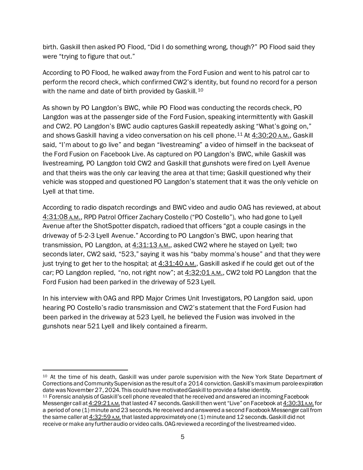birth. Gaskill then asked PO Flood, "Did I do something wrong, though?" PO Flood said they were "trying to figure that out."

According to PO Flood, he walked away from the Ford Fusion and went to his patrol car to perform the record check, which confirmed CW2's identity, but found no record for a person with the name and date of birth provided by Gaskill.<sup>[10](#page-5-0)</sup>

As shown by PO Langdon's BWC, while PO Flood was conducting the records check, PO Langdon was at the passenger side of the Ford Fusion, speaking intermittently with Gaskill and CW2. PO Langdon's BWC audio captures Gaskill repeatedly asking "What's going on," and shows Gaskill having a video conversation on his cell phone.<sup>[11](#page-5-1)</sup> At  $4:30:20$  A.M., Gaskill said, "I'm about to go live" and began "livestreaming" a video of himself in the backseat of the Ford Fusion on Facebook Live. As captured on PO Langdon's BWC, while Gaskill was livestreaming, PO Langdon told CW2 and Gaskill that gunshots were fired on Lyell Avenue and that theirs was the only car leaving the area at that time; Gaskill questioned why their vehicle was stopped and questioned PO Langdon's statement that it was the only vehicle on Lyell at that time.

According to radio dispatch recordings and BWC video and audio OAG has reviewed, at about 4:31:08 A.M., RPD Patrol Officer Zachary Costello ("PO Costello"), who had gone to Lyell Avenue after the ShotSpotter dispatch, radioed that officers "got a couple casings in the driveway of 5-2-3 Lyell Avenue." According to PO Langdon's BWC, upon hearing that transmission, PO Langdon, at  $4:31:13$  A.M., asked CW2 where he stayed on Lyell; two seconds later, CW2 said, "523," saying it was his "baby momma's house" and that they were just trying to get her to the hospital; at  $4:31:40$  A.M., Gaskill asked if he could get out of the car; PO Langdon replied, "no, not right now"; at  $4:32:01$  A.M., CW2 told PO Langdon that the Ford Fusion had been parked in the driveway of 523 Lyell.

In his interview with OAG and RPD Major Crimes Unit Investigators, PO Langdon said, upon hearing PO Costello's radio transmission and CW2's statement that the Ford Fusion had been parked in the driveway at 523 Lyell, he believed the Fusion was involved in the gunshots near 521 Lyell and likely contained a firearm.

<span id="page-5-0"></span><sup>10</sup> At the time of his death, Gaskill was under parole supervision with the New York State Department of Corrections and Community Supervision as the result of a 2014 conviction. Gaskill's maximum parole expiration date was November 27, 2024. This could have motivated Gaskill to provide a false identity.

<span id="page-5-1"></span><sup>11</sup> Forensic analysis of Gaskill's cell phone revealed that he received and answered an incoming Facebook Messenger call at 4:29:21 A.M. that lasted 47 seconds. Gaskill then went "Live" on Facebook at 4:30:31 A.M. for a period of one (1) minute and 23 seconds. He received and answered a second Facebook Messenger call from the same caller at  $4:32:59$  A.M. that lasted approximately one (1) minute and 12 seconds. Gaskill did not receive or make any further audio or video calls. OAG reviewed a recording of the livestreamed video.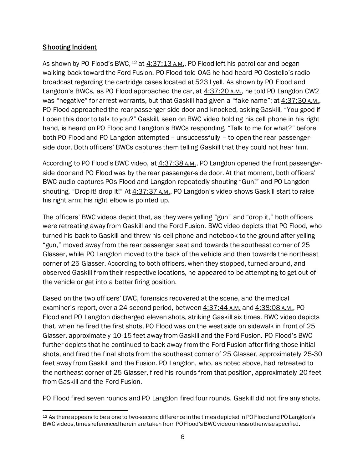# **Shooting Incident**

As shown by PO Flood's BWC,  $12$  at  $4:37:13$  A.M., PO Flood left his patrol car and began walking back toward the Ford Fusion. PO Flood told OAG he had heard PO Costello's radio broadcast regarding the cartridge cases located at 523 Lyell. As shown by PO Flood and Langdon's BWCs, as PO Flood approached the car, at  $4:37:20$  A.M., he told PO Langdon CW2 was "negative" for arrest warrants, but that Gaskill had given a "fake name"; at  $4:37:30$  A.M., PO Flood approached the rear passenger-side door and knocked, asking Gaskill, "You good if I open this door to talk to you?" Gaskill, seen on BWC video holding his cell phone in his right hand, is heard on PO Flood and Langdon's BWCs responding, "Talk to me for what?" before both PO Flood and PO Langdon attempted – unsuccessfully – to open the rear passengerside door. Both officers' BWCs captures them telling Gaskill that they could not hear him.

According to PO Flood's BWC video, at 4:37:38 A.M., PO Langdon opened the front passengerside door and PO Flood was by the rear passenger-side door. At that moment, both officers' BWC audio captures POs Flood and Langdon repeatedly shouting "Gun!" and PO Langdon shouting, "Drop it! drop it!" At 4:37:37 A.M., PO Langdon's video shows Gaskill start to raise his right arm; his right elbow is pointed up.

The officers' BWC videos depict that, as they were yelling "gun" and "drop it," both officers were retreating away from Gaskill and the Ford Fusion. BWC video depicts that PO Flood, who turned his back to Gaskill and threw his cell phone and notebook to the ground after yelling "gun," moved away from the rear passenger seat and towards the southeast corner of 25 Glasser, while PO Langdon moved to the back of the vehicle and then towards the northeast corner of 25 Glasser. According to both officers, when they stopped, turned around, and observed Gaskill from their respective locations, he appeared to be attempting to get out of the vehicle or get into a better firing position.

Based on the two officers' BWC, forensics recovered at the scene, and the medical examiner's report, over a 24-second period, between  $4:37:44$  A.M. and  $4:38:08$  A.M., PO Flood and PO Langdon discharged eleven shots, striking Gaskill six times. BWC video depicts that, when he fired the first shots, PO Flood was on the west side on sidewalk in front of 25 Glasser, approximately 10-15 feet away from Gaskill and the Ford Fusion. PO Flood's BWC further depicts that he continued to back away from the Ford Fusion after firing those initial shots, and fired the final shots from the southeast corner of 25 Glasser, approximately 25-30 feet away from Gaskill and the Fusion. PO Langdon, who, as noted above, had retreated to the northeast corner of 25 Glasser, fired his rounds from that position, approximately 20 feet from Gaskill and the Ford Fusion.

PO Flood fired seven rounds and PO Langdon fired four rounds. Gaskill did not fire any shots.

<span id="page-6-0"></span><sup>&</sup>lt;sup>12</sup> As there appears to be a one to two-second difference in the times depicted in PO Flood and PO Langdon's BWC videos, times referenced herein are taken from PO Flood's BWC video unless otherwise specified.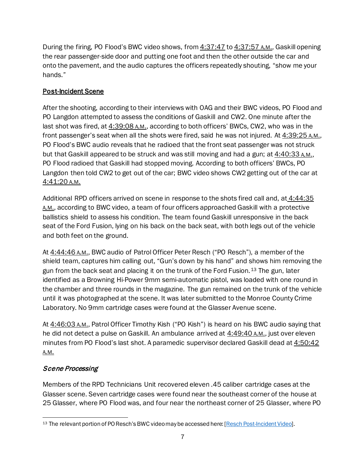During the firing, PO Flood's BWC video shows, from  $4:37:47$  to  $4:37:57$  A.M., Gaskill opening the rear passenger-side door and putting one foot and then the other outside the car and onto the pavement, and the audio captures the officers repeatedly shouting, "show me your hands."

# Post-Incident Scene

After the shooting, according to their interviews with OAG and their BWC videos, PO Flood and PO Langdon attempted to assess the conditions of Gaskill and CW2. One minute after the last shot was fired, at 4:39:08 A.M., according to both officers' BWCs, CW2, who was in the front passenger's seat when all the shots were fired, said he was not injured. At  $4:39:25$  A.M., PO Flood's BWC audio reveals that he radioed that the front seat passenger was not struck but that Gaskill appeared to be struck and was still moving and had a gun; at 4:40:33 A.M., PO Flood radioed that Gaskill had stopped moving. According to both officers' BWCs, PO Langdon then told CW2 to get out of the car; BWC video shows CW2 getting out of the car at 4:41:20 A.M.

Additional RPD officers arrived on scene in response to the shots fired call and, at 4:44:35 A.M., according to BWC video, a team of four officers approached Gaskill with a protective ballistics shield to assess his condition. The team found Gaskill unresponsive in the back seat of the Ford Fusion, lying on his back on the back seat, with both legs out of the vehicle and both feet on the ground.

At  $4:44:46$  A.M., BWC audio of Patrol Officer Peter Resch ("PO Resch"), a member of the shield team, captures him calling out, "Gun's down by his hand" and shows him removing the gun from the back seat and placing it on the trunk of the Ford Fusion.<sup>[13](#page-7-0)</sup> The gun, later identified as a Browning Hi-Power 9mm semi-automatic pistol, was loaded with one round in the chamber and three rounds in the magazine. The gun remained on the trunk of the vehicle until it was photographed at the scene. It was later submitted to the Monroe County Crime Laboratory. No 9mm cartridge cases were found at the Glasser Avenue scene.

At 4:46:03 A.M., Patrol Officer Timothy Kish ("PO Kish") is heard on his BWC audio saying that he did not detect a pulse on Gaskill. An ambulance arrived at 4:49:40 A.M., just over eleven minutes from PO Flood's last shot. A paramedic supervisor declared Gaskill dead at 4:50:42 A.M.

# Scene Processing

Members of the RPD Technicians Unit recovered eleven .45 caliber cartridge cases at the Glasser scene. Seven cartridge cases were found near the southeast corner of the house at 25 Glasser, where PO Flood was, and four near the northeast corner of 25 Glasser, where PO

<span id="page-7-0"></span><sup>&</sup>lt;sup>13</sup> The relevant portion of PO Resch's BWC video may be accessed here: [\[Resch Post-Incident Video](https://vimeo.com/654250366/abc25a8f8d)].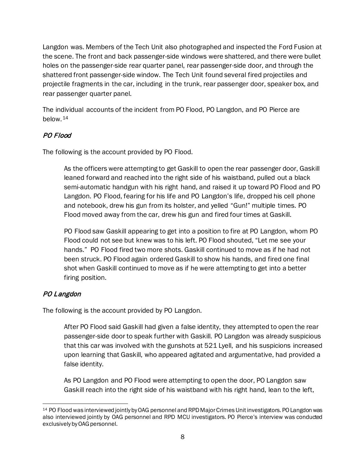Langdon was. Members of the Tech Unit also photographed and inspected the Ford Fusion at the scene. The front and back passenger-side windows were shattered, and there were bullet holes on the passenger-side rear quarter panel, rear passenger-side door, and through the shattered front passenger-side window. The Tech Unit found several fired projectiles and projectile fragments in the car, including in the trunk, rear passenger door, speaker box, and rear passenger quarter panel.

The individual accounts of the incident from PO Flood, PO Langdon, and PO Pierce are below.[14](#page-8-0)

# PO Flood

The following is the account provided by PO Flood.

As the officers were attempting to get Gaskill to open the rear passenger door, Gaskill leaned forward and reached into the right side of his waistband, pulled out a black semi-automatic handgun with his right hand, and raised it up toward PO Flood and PO Langdon. PO Flood, fearing for his life and PO Langdon's life, dropped his cell phone and notebook, drew his gun from its holster, and yelled "Gun!" multiple times. PO Flood moved away from the car, drew his gun and fired four times at Gaskill.

PO Flood saw Gaskill appearing to get into a position to fire at PO Langdon, whom PO Flood could not see but knew was to his left. PO Flood shouted, "Let me see your hands." PO Flood fired two more shots. Gaskill continued to move as if he had not been struck. PO Flood again ordered Gaskill to show his hands, and fired one final shot when Gaskill continued to move as if he were attempting to get into a better firing position.

# PO Langdon

The following is the account provided by PO Langdon.

After PO Flood said Gaskill had given a false identity, they attempted to open the rear passenger-side door to speak further with Gaskill. PO Langdon was already suspicious that this car was involved with the gunshots at 521 Lyell, and his suspicions increased upon learning that Gaskill, who appeared agitated and argumentative, had provided a false identity.

As PO Langdon and PO Flood were attempting to open the door, PO Langdon saw Gaskill reach into the right side of his waistband with his right hand, lean to the left,

<span id="page-8-0"></span><sup>14</sup> PO Flood was interviewed jointly by OAG personnel and RPD Major Crimes Unit investigators. PO Langdon was also interviewed jointly by OAG personnel and RPD MCU investigators. PO Pierce's interview was conducted exclusively by OAG personnel.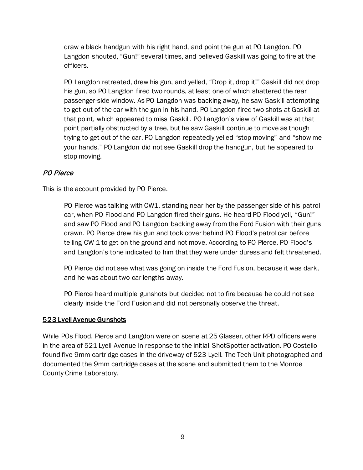draw a black handgun with his right hand, and point the gun at PO Langdon. PO Langdon shouted, "Gun!" several times, and believed Gaskill was going to fire at the officers.

PO Langdon retreated, drew his gun, and yelled, "Drop it, drop it!" Gaskill did not drop his gun, so PO Langdon fired two rounds, at least one of which shattered the rear passenger-side window. As PO Langdon was backing away, he saw Gaskill attempting to get out of the car with the gun in his hand. PO Langdon fired two shots at Gaskill at that point, which appeared to miss Gaskill. PO Langdon's view of Gaskill was at that point partially obstructed by a tree, but he saw Gaskill continue to move as though trying to get out of the car. PO Langdon repeatedly yelled "stop moving" and "show me your hands." PO Langdon did not see Gaskill drop the handgun, but he appeared to stop moving.

# PO Pierce

This is the account provided by PO Pierce.

PO Pierce was talking with CW1, standing near her by the passenger side of his patrol car, when PO Flood and PO Langdon fired their guns. He heard PO Flood yell, "Gun!" and saw PO Flood and PO Langdon backing away from the Ford Fusion with their guns drawn. PO Pierce drew his gun and took cover behind PO Flood's patrol car before telling CW 1 to get on the ground and not move. According to PO Pierce, PO Flood's and Langdon's tone indicated to him that they were under duress and felt threatened.

PO Pierce did not see what was going on inside the Ford Fusion, because it was dark, and he was about two car lengths away.

PO Pierce heard multiple gunshots but decided not to fire because he could not see clearly inside the Ford Fusion and did not personally observe the threat.

#### 523 Lyell Avenue Gunshots

While POs Flood, Pierce and Langdon were on scene at 25 Glasser, other RPD officers were in the area of 521 Lyell Avenue in response to the initial ShotSpotter activation. PO Costello found five 9mm cartridge cases in the driveway of 523 Lyell. The Tech Unit photographed and documented the 9mm cartridge cases at the scene and submitted them to the Monroe County Crime Laboratory.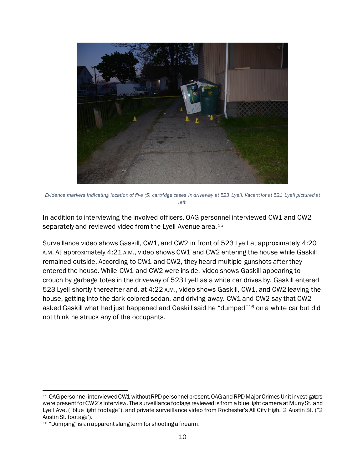

*Evidence markers indicating location of five (5) cartridge cases in driveway at 523 Lyell. Vacant lot at 521 Lyell pictured at left.*

In addition to interviewing the involved officers, OAG personnel interviewed CW1 and CW2 separately and reviewed video from the Lyell Avenue area.<sup>[15](#page-10-0)</sup>

Surveillance video shows Gaskill, CW1, and CW2 in front of 523 Lyell at approximately 4:20 A.M. At approximately 4:21 A.M., video shows CW1 and CW2 entering the house while Gaskill remained outside. According to CW1 and CW2, they heard multiple gunshots after they entered the house. While CW1 and CW2 were inside, video shows Gaskill appearing to crouch by garbage totes in the driveway of 523 Lyell as a white car drives by. Gaskill entered 523 Lyell shortly thereafter and, at 4:22 A.M., video shows Gaskill, CW1, and CW2 leaving the house, getting into the dark-colored sedan, and driving away. CW1 and CW2 say that CW2 asked Gaskill what had just happened and Gaskill said he "dumped"[16](#page-10-1) on a white car but did not think he struck any of the occupants.

<span id="page-10-0"></span><sup>15</sup> OAG personnel interviewed CW1 without RPD personnel present. OAG and RPD Major Crimes Unit investigators were present for CW2's interview. The surveillance footage reviewed is from a blue light camera at Murry St. and Lyell Ave. ("blue light footage"), and private surveillance video from Rochester's All City High, 2 Austin St. ("2 Austin St. footage').

<span id="page-10-1"></span><sup>16 &</sup>quot;Dumping" is an apparent slang term for shooting a firearm.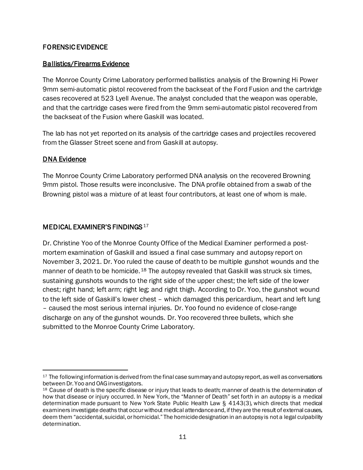# FORENSIC EVIDENCE

# Ballistics/Firearms Evidence

The Monroe County Crime Laboratory performed ballistics analysis of the Browning Hi Power 9mm semi-automatic pistol recovered from the backseat of the Ford Fusion and the cartridge cases recovered at 523 Lyell Avenue. The analyst concluded that the weapon was operable, and that the cartridge cases were fired from the 9mm semi-automatic pistol recovered from the backseat of the Fusion where Gaskill was located.

The lab has not yet reported on its analysis of the cartridge cases and projectiles recovered from the Glasser Street scene and from Gaskill at autopsy.

# DNA Evidence

The Monroe County Crime Laboratory performed DNA analysis on the recovered Browning 9mm pistol. Those results were inconclusive. The DNA profile obtained from a swab of the Browning pistol was a mixture of at least four contributors, at least one of whom is male.

# MEDICAL EXAMINER'S FINDINGS<sup>[17](#page-11-0)</sup>

Dr. Christine Yoo of the Monroe County Office of the Medical Examiner performed a postmortem examination of Gaskill and issued a final case summary and autopsy report on November 3, 2021. Dr. Yoo ruled the cause of death to be multiple gunshot wounds and the manner of death to be homicide.<sup>[18](#page-11-1)</sup> The autopsy revealed that Gaskill was struck six times, sustaining gunshots wounds to the right side of the upper chest; the left side of the lower chest; right hand; left arm; right leg; and right thigh. According to Dr. Yoo, the gunshot wound to the left side of Gaskill's lower chest – which damaged this pericardium, heart and left lung – caused the most serious internal injuries. Dr. Yoo found no evidence of close-range discharge on any of the gunshot wounds. Dr. Yoo recovered three bullets, which she submitted to the Monroe County Crime Laboratory.

<span id="page-11-0"></span><sup>&</sup>lt;sup>17</sup> The following information is derived from the final case summary and autopsy report, as well as conversations between Dr. Yoo and OAG investigators.

<span id="page-11-1"></span><sup>&</sup>lt;sup>18</sup> Cause of death is the specific disease or injury that leads to death; manner of death is the determination of how that disease or injury occurred. In New York, the "Manner of Death" set forth in an autopsy is a medical determination made pursuant to New York State Public Health Law § 4143(3), which directs that medical examiners investigate deaths that occur without medical attendance and, if they are the result of external causes, deem them "accidental, suicidal, or homicidal." The homicide designation in an autopsy is not a legal culpability determination.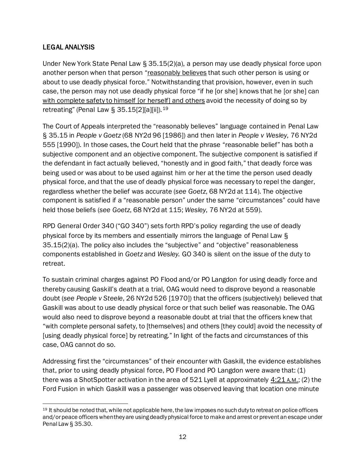# LEGAL ANALYSIS

Under New York State Penal Law § 35.15(2)(a), a person may use deadly physical force upon another person when that person "reasonably believes that such other person is using or about to use deadly physical force." Notwithstanding that provision, however, even in such case, the person may not use deadly physical force "if he [or she] knows that he [or she] can with complete safety to himself [or herself] and others avoid the necessity of doing so by retreating" (Penal Law § 35.15[2][a][ii]).<sup>[19](#page-12-0)</sup>

The Court of Appeals interpreted the "reasonably believes" language contained in Penal Law § 35.15 in *People v Goetz* (68 NY2d 96 [1986]) and then later in *People v Wesley*, 76 NY2d 555 [1990]). In those cases, the Court held that the phrase "reasonable belief" has both a subjective component and an objective component. The subjective component is satisfied if the defendant in fact actually believed, "honestly and in good faith," that deadly force was being used or was about to be used against him or her at the time the person used deadly physical force, and that the use of deadly physical force was necessary to repel the danger, regardless whether the belief was accurate (*see Goetz*, 68 NY2d at 114). The objective component is satisfied if a "reasonable person" under the same "circumstances" could have held those beliefs (*see Goetz*, 68 NY2d at 115; *Wesley*, 76 NY2d at 559).

RPD General Order 340 ("GO 340") sets forth RPD's policy regarding the use of deadly physical force by its members and essentially mirrors the language of Penal Law § 35.15(2)(a). The policy also includes the "subjective" and "objective" reasonableness components established in *Goetz* and *Wesley.* GO 340 is silent on the issue of the duty to retreat.

To sustain criminal charges against PO Flood and/or PO Langdon for using deadly force and thereby causing Gaskill's death at a trial, OAG would need to disprove beyond a reasonable doubt (*see People v Steele*, 26 NY2d 526 [1970]) that the officers (subjectively) believed that Gaskill was about to use deadly physical force or that such belief was reasonable. The OAG would also need to disprove beyond a reasonable doubt at trial that the officers knew that "with complete personal safety, to [themselves] and others [they could] avoid the necessity of [using deadly physical force] by retreating." In light of the facts and circumstances of this case, OAG cannot do so.

Addressing first the "circumstances" of their encounter with Gaskill, the evidence establishes that, prior to using deadly physical force, PO Flood and PO Langdon were aware that: (1) there was a ShotSpotter activation in the area of 521 Lyell at approximately  $4:21 \text{ A.M.}$ ; (2) the Ford Fusion in which Gaskill was a passenger was observed leaving that location one minute

<span id="page-12-0"></span><sup>&</sup>lt;sup>19</sup> It should be noted that, while not applicable here, the law imposes no such duty to retreat on police officers and/or peace officers when they are using deadly physical force to make and arrest or prevent an escape under Penal Law § 35.30.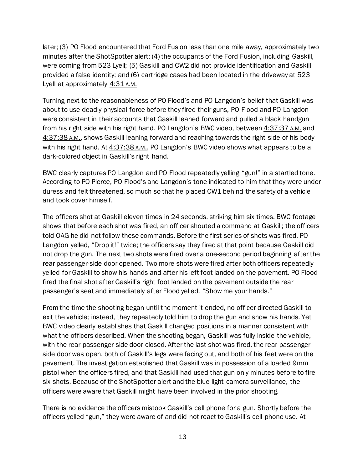later; (3) PO Flood encountered that Ford Fusion less than one mile away, approximately two minutes after the ShotSpotter alert; (4) the occupants of the Ford Fusion, including Gaskill, were coming from 523 Lyell; (5) Gaskill and CW2 did not provide identification and Gaskill provided a false identity; and (6) cartridge cases had been located in the driveway at 523 Lyell at approximately 4:31 A.M.

Turning next to the reasonableness of PO Flood's and PO Langdon's belief that Gaskill was about to use deadly physical force before they fired their guns, PO Flood and PO Langdon were consistent in their accounts that Gaskill leaned forward and pulled a black handgun from his right side with his right hand. PO Langdon's BWC video, between 4:37:37 A.M. and 4:37:38 A.M., shows Gaskill leaning forward and reaching towards the right side of his body with his right hand. At 4:37:38 A.M., PO Langdon's BWC video shows what appears to be a dark-colored object in Gaskill's right hand.

BWC clearly captures PO Langdon and PO Flood repeatedly yelling "gun!" in a startled tone. According to PO Pierce, PO Flood's and Langdon's tone indicated to him that they were under duress and felt threatened, so much so that he placed CW1 behind the safety of a vehicle and took cover himself.

The officers shot at Gaskill eleven times in 24 seconds, striking him six times. BWC footage shows that before each shot was fired, an officer shouted a command at Gaskill; the officers told OAG he did not follow these commands. Before the first series of shots was fired, PO Langdon yelled, "Drop it!" twice; the officers say they fired at that point because Gaskill did not drop the gun. The next two shots were fired over a one-second period beginning after the rear passenger-side door opened. Two more shots were fired after both officers repeatedly yelled for Gaskill to show his hands and after his left foot landed on the pavement. PO Flood fired the final shot after Gaskill's right foot landed on the pavement outside the rear passenger's seat and immediately after Flood yelled, "Show me your hands."

From the time the shooting began until the moment it ended, no officer directed Gaskill to exit the vehicle; instead, they repeatedly told him to drop the gun and show his hands. Yet BWC video clearly establishes that Gaskill changed positions in a manner consistent with what the officers described. When the shooting began, Gaskill was fully inside the vehicle, with the rear passenger-side door closed. After the last shot was fired, the rear passengerside door was open, both of Gaskill's legs were facing out, and both of his feet were on the pavement. The investigation established that Gaskill was in possession of a loaded 9mm pistol when the officers fired, and that Gaskill had used that gun only minutes before to fire six shots. Because of the ShotSpotter alert and the blue light camera surveillance, the officers were aware that Gaskill might have been involved in the prior shooting.

There is no evidence the officers mistook Gaskill's cell phone for a gun. Shortly before the officers yelled "gun," they were aware of and did not react to Gaskill's cell phone use. At